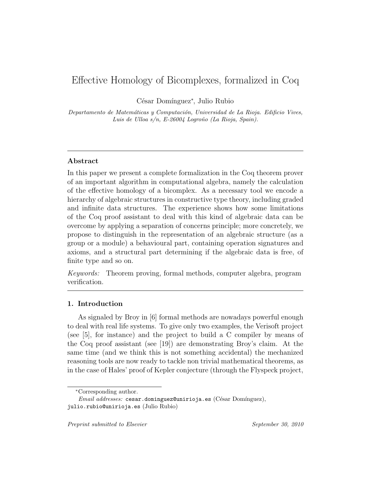# Effective Homology of Bicomplexes, formalized in Coq

César Domínguez<sup>∗</sup>, Julio Rubio

Departamento de Matemáticas y Computación, Universidad de La Rioja. Edificio Vives, Luis de Ulloa  $s/n$ , E-26004 Logroño (La Rioja, Spain).

## Abstract

In this paper we present a complete formalization in the Coq theorem prover of an important algorithm in computational algebra, namely the calculation of the effective homology of a bicomplex. As a necessary tool we encode a hierarchy of algebraic structures in constructive type theory, including graded and infinite data structures. The experience shows how some limitations of the Coq proof assistant to deal with this kind of algebraic data can be overcome by applying a separation of concerns principle; more concretely, we propose to distinguish in the representation of an algebraic structure (as a group or a module) a behavioural part, containing operation signatures and axioms, and a structural part determining if the algebraic data is free, of finite type and so on.

Keywords: Theorem proving, formal methods, computer algebra, program verification.

## 1. Introduction

As signaled by Broy in [6] formal methods are nowadays powerful enough to deal with real life systems. To give only two examples, the Verisoft project (see [5], for instance) and the project to build a C compiler by means of the Coq proof assistant (see [19]) are demonstrating Broy's claim. At the same time (and we think this is not something accidental) the mechanized reasoning tools are now ready to tackle non trivial mathematical theorems, as in the case of Hales' proof of Kepler conjecture (through the Flyspeck project,

<sup>∗</sup>Corresponding author.

 $Email \ addresses: \ cesar.dominguez@unirioja. es (César Domínguez),$ julio.rubio@unirioja.es (Julio Rubio)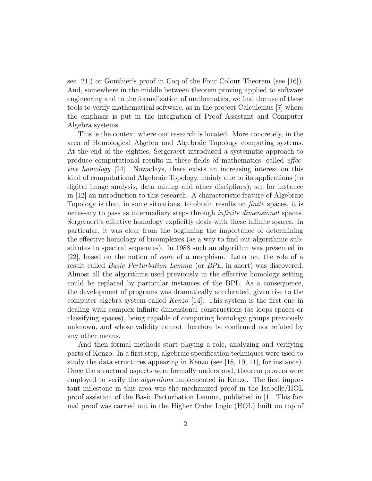see [21]) or Gonthier's proof in Coq of the Four Colour Theorem (see [16]). And, somewhere in the middle between theorem proving applied to software engineering and to the formalization of mathematics, we find the use of these tools to verify mathematical software, as in the project Calculemus [7] where the emphasis is put in the integration of Proof Assistant and Computer Algebra systems.

This is the context where our research is located. More concretely, in the area of Homological Algebra and Algebraic Topology computing systems. At the end of the eighties, Sergeraert introduced a systematic approach to produce computational results in these fields of mathematics, called effective homology [24]. Nowadays, there exists an increasing interest on this kind of computational Algebraic Topology, mainly due to its applications (to digital image analysis, data mining and other disciplines); see for instance in [12] an introduction to this research. A characteristic feature of Algebraic Topology is that, in some situations, to obtain results on finite spaces, it is necessary to pass as intermediary steps through infinite dimensional spaces. Sergeraert's effective homology explicitly deals with these infinite spaces. In particular, it was clear from the beginning the importance of determining the effective homology of bicomplexes (as a way to find out algorithmic substitutes to spectral sequences). In 1988 such an algorithm was presented in [22], based on the notion of cone of a morphism. Later on, the role of a result called Basic Perturbation Lemma (or BPL, in short) was discovered. Almost all the algorithms used previously in the effective homology setting could be replaced by particular instances of the BPL. As a consequence, the development of programs was dramatically accelerated, given rise to the computer algebra system called Kenzo [14]. This system is the first one in dealing with complex infinite dimensional constructions (as loops spaces or classifying spaces), being capable of computing homology groups previously unknown, and whose validity cannot therefore be confirmed nor refuted by any other means.

And then formal methods start playing a role, analyzing and verifying parts of Kenzo. In a first step, algebraic specification techniques were used to study the data structures appearing in Kenzo (see  $[18, 10, 11]$ , for instance). Once the structural aspects were formally understood, theorem provers were employed to verify the *algorithms* implemented in Kenzo. The first important milestone in this area was the mechanized proof in the Isabelle/HOL proof assistant of the Basic Perturbation Lemma, published in [1]. This formal proof was carried out in the Higher Order Logic (HOL) built on top of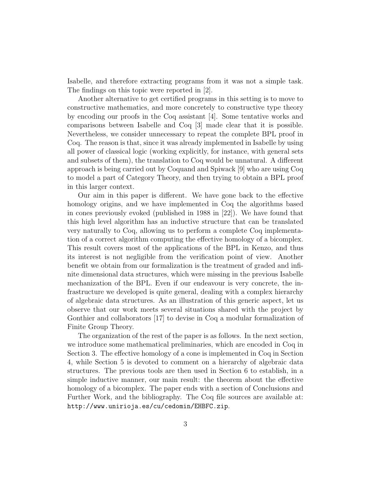Isabelle, and therefore extracting programs from it was not a simple task. The findings on this topic were reported in [2].

Another alternative to get certified programs in this setting is to move to constructive mathematics, and more concretely to constructive type theory by encoding our proofs in the Coq assistant [4]. Some tentative works and comparisons between Isabelle and Coq [3] made clear that it is possible. Nevertheless, we consider unnecessary to repeat the complete BPL proof in Coq. The reason is that, since it was already implemented in Isabelle by using all power of classical logic (working explicitly, for instance, with general sets and subsets of them), the translation to Coq would be unnatural. A different approach is being carried out by Coquand and Spiwack [9] who are using Coq to model a part of Category Theory, and then trying to obtain a BPL proof in this larger context.

Our aim in this paper is different. We have gone back to the effective homology origins, and we have implemented in Coq the algorithms based in cones previously evoked (published in 1988 in [22]). We have found that this high level algorithm has an inductive structure that can be translated very naturally to Coq, allowing us to perform a complete Coq implementation of a correct algorithm computing the effective homology of a bicomplex. This result covers most of the applications of the BPL in Kenzo, and thus its interest is not negligible from the verification point of view. Another benefit we obtain from our formalization is the treatment of graded and infinite dimensional data structures, which were missing in the previous Isabelle mechanization of the BPL. Even if our endeavour is very concrete, the infrastructure we developed is quite general, dealing with a complex hierarchy of algebraic data structures. As an illustration of this generic aspect, let us observe that our work meets several situations shared with the project by Gonthier and collaborators [17] to devise in Coq a modular formalization of Finite Group Theory.

The organization of the rest of the paper is as follows. In the next section, we introduce some mathematical preliminaries, which are encoded in Coq in Section 3. The effective homology of a cone is implemented in Coq in Section 4, while Section 5 is devoted to comment on a hierarchy of algebraic data structures. The previous tools are then used in Section 6 to establish, in a simple inductive manner, our main result: the theorem about the effective homology of a bicomplex. The paper ends with a section of Conclusions and Further Work, and the bibliography. The Coq file sources are available at: http://www.unirioja.es/cu/cedomin/EHBFC.zip.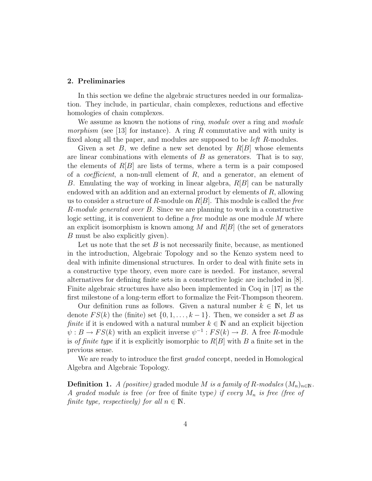#### 2. Preliminaries

In this section we define the algebraic structures needed in our formalization. They include, in particular, chain complexes, reductions and effective homologies of chain complexes.

We assume as known the notions of *ring*, module over a ring and module *morphism* (see [13] for instance). A ring R commutative and with unity is fixed along all the paper, and modules are supposed to be *left R*-modules.

Given a set B, we define a new set denoted by  $R[B]$  whose elements are linear combinations with elements of  $B$  as generators. That is to say, the elements of  $R[B]$  are lists of terms, where a term is a pair composed of a *coefficient*, a non-null element of  $R$ , and a generator, an element of B. Emulating the way of working in linear algebra,  $R[B]$  can be naturally endowed with an addition and an external product by elements of R, allowing us to consider a structure of R-module on  $R[B]$ . This module is called the free R-module generated over B. Since we are planning to work in a constructive logic setting, it is convenient to define a *free* module as one module M where an explicit isomorphism is known among M and  $R[B]$  (the set of generators B must be also explicitly given).

Let us note that the set  $B$  is not necessarily finite, because, as mentioned in the introduction, Algebraic Topology and so the Kenzo system need to deal with infinite dimensional structures. In order to deal with finite sets in a constructive type theory, even more care is needed. For instance, several alternatives for defining finite sets in a constructive logic are included in [8]. Finite algebraic structures have also been implemented in Coq in [17] as the first milestone of a long-term effort to formalize the Feit-Thompson theorem.

Our definition runs as follows. Given a natural number  $k \in \mathbb{N}$ , let us denote  $FS(k)$  the (finite) set  $\{0, 1, \ldots, k-1\}$ . Then, we consider a set B as finite if it is endowed with a natural number  $k \in \mathbb{N}$  and an explicit bijection  $\psi: B \to FS(k)$  with an explicit inverse  $\psi^{-1}: FS(k) \to B$ . A free R-module is of finite type if it is explicitly isomorphic to  $R[B]$  with B a finite set in the previous sense.

We are ready to introduce the first *graded* concept, needed in Homological Algebra and Algebraic Topology.

**Definition 1.** A (positive) graded module M is a family of R-modules  $(M_n)_{n\in\mathbb{N}}$ . A graded module is free (or free of finite type) if every  $M_n$  is free (free of finite type, respectively) for all  $n \in \mathbb{N}$ .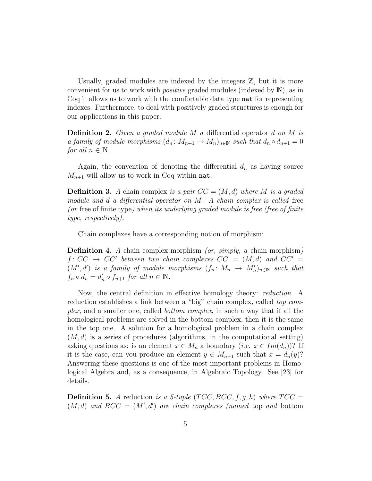Usually, graded modules are indexed by the integers  $\mathbb{Z}$ , but it is more convenient for us to work with positive graded modules (indexed by N), as in Coq it allows us to work with the comfortable data type nat for representing indexes. Furthermore, to deal with positively graded structures is enough for our applications in this paper.

Definition 2. Given a graded module M a differential operator d on M is a family of module morphisms  $(d_n: M_{n+1} \to M_n)_{n \in \mathbb{N}}$  such that  $d_n \circ d_{n+1} = 0$ for all  $n \in \mathbb{N}$ .

Again, the convention of denoting the differential  $d_n$  as having source  $M_{n+1}$  will allow us to work in Coq within nat.

**Definition 3.** A chain complex is a pair  $CC = (M, d)$  where M is a graded module and d a differential operator on  $M$ . A chain complex is called free (or free of finite type) when its underlying graded module is free (free of finite type, respectively).

Chain complexes have a corresponding notion of morphism:

**Definition 4.** A chain complex morphism (or, simply, a chain morphism)  $f: CC \rightarrow CC'$  between two chain complexes  $CC = (M, d)$  and  $CC' =$  $(M', d')$  is a family of module morphisms  $(f_n: M_n \to M'_n)_{n \in \mathbb{N}}$  such that  $f_n \circ d_n = d'_n \circ f_{n+1}$  for all  $n \in \mathbb{N}$ .

Now, the central definition in effective homology theory: reduction. A reduction establishes a link between a "big" chain complex, called top complex, and a smaller one, called bottom complex, in such a way that if all the homological problems are solved in the bottom complex, then it is the same in the top one. A solution for a homological problem in a chain complex  $(M, d)$  is a series of procedures (algorithms, in the computational setting) asking questions as: is an element  $x \in M_n$  a boundary  $(i.e. \ x \in Im(d_n))$ ? If it is the case, can you produce an element  $y \in M_{n+1}$  such that  $x = d_n(y)$ ? Answering these questions is one of the most important problems in Homological Algebra and, as a consequence, in Algebraic Topology. See [23] for details.

**Definition 5.** A reduction is a 5-tuple  $(TCC, BCC, f, g, h)$  where  $TCC =$  $(M, d)$  and  $BCC = (M', d')$  are chain complexes (named top and bottom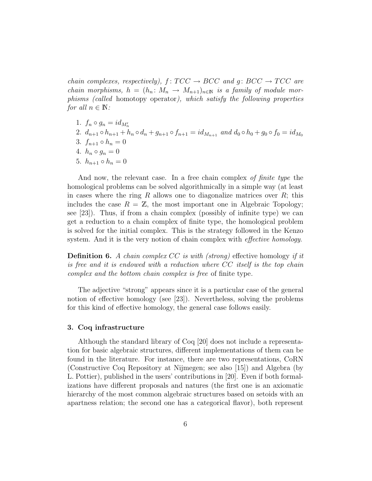chain complexes, respectively),  $f: TCC \rightarrow BCC$  and  $g: BCC \rightarrow TCC$  are chain morphisms,  $h = (h_n : M_n \to M_{n+1})_{n \in \mathbb{N}}$  is a family of module morphisms (called homotopy operator), which satisfy the following properties for all  $n \in \mathbb{N}$ :

- 1.  $f_n \circ g_n = id_{M'_n}$
- 2.  $d_{n+1} \circ h_{n+1} + h_n \circ d_n + g_{n+1} \circ f_{n+1} = id_{M_{n+1}}$  and  $d_0 \circ h_0 + g_0 \circ f_0 = id_{M_0}$
- 3.  $f_{n+1} \circ h_n = 0$
- 4.  $h_n \circ g_n = 0$
- 5.  $h_{n+1} \circ h_n = 0$

And now, the relevant case. In a free chain complex of finite type the homological problems can be solved algorithmically in a simple way (at least in cases where the ring R allows one to diagonalize matrices over  $R$ ; this includes the case  $R = \mathbb{Z}$ , the most important one in Algebraic Topology; see [23]). Thus, if from a chain complex (possibly of infinite type) we can get a reduction to a chain complex of finite type, the homological problem is solved for the initial complex. This is the strategy followed in the Kenzo system. And it is the very notion of chain complex with *effective homology*.

**Definition 6.** A chain complex  $CC$  is with (strong) effective homology if it is free and it is endowed with a reduction where CC itself is the top chain complex and the bottom chain complex is free of finite type.

The adjective "strong" appears since it is a particular case of the general notion of effective homology (see [23]). Nevertheless, solving the problems for this kind of effective homology, the general case follows easily.

#### 3. Coq infrastructure

Although the standard library of Coq [20] does not include a representation for basic algebraic structures, different implementations of them can be found in the literature. For instance, there are two representations, CoRN (Constructive Coq Repository at Nijmegen; see also [15]) and Algebra (by L. Pottier), published in the users' contributions in [20]. Even if both formalizations have different proposals and natures (the first one is an axiomatic hierarchy of the most common algebraic structures based on setoids with an apartness relation; the second one has a categorical flavor), both represent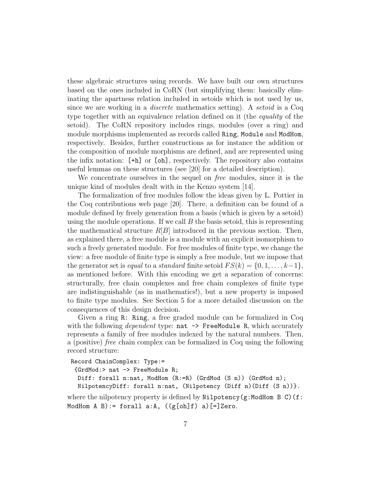these algebraic structures using records. We have built our own structures based on the ones included in CoRN (but simplifying them: basically eliminating the apartness relation included in setoids which is not used by us, since we are working in a *discrete* mathematics setting). A *setoid* is a Coq type together with an equivalence relation defined on it (the equality of the setoid). The CoRN repository includes rings, modules (over a ring) and module morphisms implemented as records called Ring, Module and ModHom, respectively. Besides, further constructions as for instance the addition or the composition of module morphisms are defined, and are represented using the infix notation: [+h] or [oh], respectively. The repository also contains useful lemmas on these structures (see [20] for a detailed description).

We concentrate ourselves in the sequel on free modules, since it is the unique kind of modules dealt with in the Kenzo system [14].

The formalization of free modules follow the ideas given by L. Pottier in the Coq contributions web page [20]. There, a definition can be found of a module defined by freely generation from a basis (which is given by a setoid) using the module operations. If we call  $B$  the basis setoid, this is representing the mathematical structure  $R[B]$  introduced in the previous section. Then, as explained there, a free module is a module with an explicit isomorphism to such a freely generated module. For free modules of finite type, we change the view: a free module of finite type is simply a free module, but we impose that the generator set is *equal* to a *standard* finite setoid  $FS(k) = \{0, 1, \ldots, k-1\},\$ as mentioned before. With this encoding we get a separation of concerns: structurally, free chain complexes and free chain complexes of finite type are indistinguishable (as in mathematics!), but a new property is imposed to finite type modules. See Section 5 for a more detailed discussion on the consequences of this design decision.

Given a ring R: Ring, a free graded module can be formalized in Coq with the following *dependent* type:  $nat \rightarrow$  FreeModule R, which accurately represents a family of free modules indexed by the natural numbers. Then, a (positive) free chain complex can be formalized in Coq using the following record structure:

```
Record ChainComplex: Type:=
 {GrdMod:> nat -> FreeModule R;
 Diff: forall n:nat, ModHom (R:=R) (GrdMod (S n)) (GrdMod n);
  NilpotencyDiff: forall n:nat, (Nilpotency (Diff n)(Diff (S n))}.
```
where the nilpotency property is defined by  $Nilpotency(g:ModHom B C)$  (f: ModHom A B):= forall a:A,  $((g[oh]f) a)$ [=]Zero.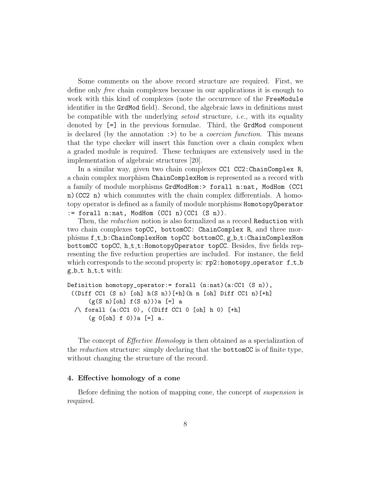Some comments on the above record structure are required. First, we define only free chain complexes because in our applications it is enough to work with this kind of complexes (note the occurrence of the FreeModule identifier in the GrdMod field). Second, the algebraic laws in definitions must be compatible with the underlying *setoid* structure, *i.e.*, with its equality denoted by [=] in the previous formulae. Third, the GrdMod component is declared (by the annotation  $\Rightarrow$ ) to be a *coercion function*. This means that the type checker will insert this function over a chain complex when a graded module is required. These techniques are extensively used in the implementation of algebraic structures [20].

In a similar way, given two chain complexes CC1 CC2:ChainComplex R, a chain complex morphism ChainComplexHom is represented as a record with a family of module morphisms GrdModHom:> forall n:nat, ModHom (CC1 n)(CC2 n) which commutes with the chain complex differentials. A homotopy operator is defined as a family of module morphisms HomotopyOperator  $:=$  forall n:nat, ModHom  $(CC1 n)(CC1 (S n))$ .

Then, the *reduction* notion is also formalized as a record Reduction with two chain complexes topCC, bottomCC: ChainComplex R, and three morphisms f\_t\_b:ChainComplexHom topCC bottomCC, g\_b\_t:ChainComplexHom bottomCC topCC, h\_t\_t:HomotopyOperator topCC. Besides, five fields representing the five reduction properties are included. For instance, the field which corresponds to the second property is:  $rp2:homotopy_operator f_t_t$  $g_b_t$  t h\_t\_t with:

```
Definition homotopy_operator:= forall (n:nat)(a:CC1 (S n)),
 ((Diff CC1 (S \n n) [oh] h(S \n n))[+h](h n [oh] Diff CC1 n)[+h]
      (g(S n) [oh] f(S n)))a [=] a
  /\ forall (a:CC1 0), ((Diff CC1 0 [oh] h 0) [+h]
      (g \circ [oh] f \circ )) a [=] a.
```
The concept of *Effective Homology* is then obtained as a specialization of the *reduction* structure: simply declaring that the **bottomCC** is of finite type, without changing the structure of the record.

# 4. Effective homology of a cone

Before defining the notion of mapping cone, the concept of suspension is required.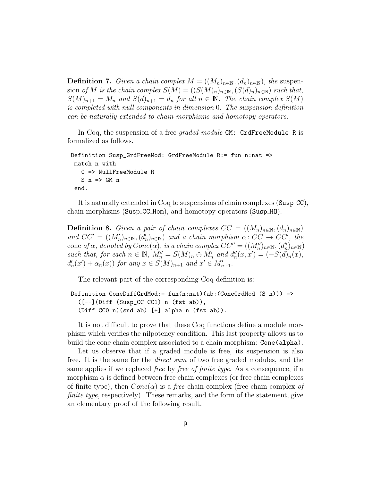**Definition 7.** Given a chain complex  $M = ((M_n)_{n \in \mathbb{N}}, (d_n)_{n \in \mathbb{N}})$ , the suspension of M is the chain complex  $S(M) = ((S(M)_n)_{n \in \mathbb{N}}, (S(d)_n)_{n \in \mathbb{N}})$  such that,  $S(M)_{n+1} = M_n$  and  $S(d)_{n+1} = d_n$  for all  $n \in \mathbb{N}$ . The chain complex  $S(M)$ is completed with null components in dimension 0. The suspension definition can be naturally extended to chain morphisms and homotopy operators.

In Coq, the suspension of a free *graded module* GM: GrdFreeModule R is formalized as follows.

```
Definition Susp_GrdFreeMod: GrdFreeModule R:= fun n:nat =>
match n with
 | 0 => NullFreeModule R
 | S n => GM n
 end.
```
It is naturally extended in Coq to suspensions of chain complexes (Susp CC), chain morphisms (Susp CC Hom), and homotopy operators (Susp HO).

**Definition 8.** Given a pair of chain complexes  $CC = ((M_n)_{n \in \mathbb{N}}, (d_n)_{n \in \mathbb{N}})$ and  $CC' = ((M'_n)_{n \in \mathbb{N}}, (d'_n)_{n \in \mathbb{N}})$  and a chain morphism  $\alpha: CC \rightarrow CC'$ , the cone of  $\alpha$ , denoted by  $Cone(\alpha)$ , is a chain complex  $CC'' = ((M''_n)_{n \in \mathbb{N}}, (d''_n)_{n \in \mathbb{N}})$ such that, for each  $n \in \mathbb{N}$ ,  $M''_n = S(M)_n \oplus M'_n$  and  $d''_n(x, x') = (-S(d)_n(x))$ ,  $d'_{n}(x') + \alpha_{n}(x)$  for any  $x \in S(M)_{n+1}$  and  $x' \in M'_{n+1}$ .

The relevant part of the corresponding Coq definition is:

```
Definition ConeDiffGrdMod:= fun(n:nat)(ab:(ConeGrdMod (S n))) =>
  ([--](Diff (Susp_CC CC1) n (fst ab)),
  (Diff CC0 n)(snd ab) [+] alpha n (fst ab)).
```
It is not difficult to prove that these Coq functions define a module morphism which verifies the nilpotency condition. This last property allows us to build the cone chain complex associated to a chain morphism: Cone(alpha).

Let us observe that if a graded module is free, its suspension is also free. It is the same for the direct sum of two free graded modules, and the same applies if we replaced free by free of finite type. As a consequence, if a morphism  $\alpha$  is defined between free chain complexes (or free chain complexes of finite type), then  $Cone(\alpha)$  is a *free* chain complex (free chain complex of finite type, respectively). These remarks, and the form of the statement, give an elementary proof of the following result.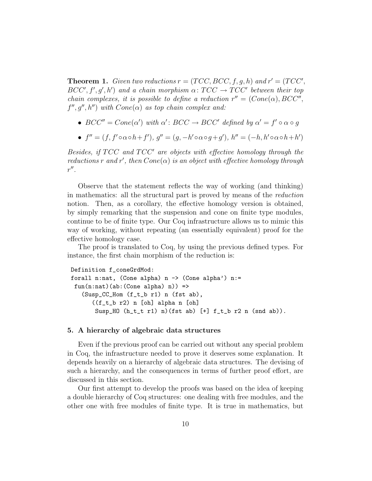**Theorem 1.** Given two reductions  $r = (TCC, BCC, f, g, h)$  and  $r' = (TCC', g, h)$  $BCC', f', g', h')$  and a chain morphism  $\alpha \colon TCC \to TCC'$  between their top chain complexes, it is possible to define a reduction  $r'' = (Cone(\alpha), BCC'',$  $f'', g'', h'$ ) with  $Cone(\alpha)$  as top chain complex and:

- $BCC'' = Cone(\alpha')$  with  $\alpha' : BCC \rightarrow BCC'$  defined by  $\alpha' = f' \circ \alpha \circ g$
- $f'' = (f, f' \circ \alpha \circ h + f'), g'' = (g, -h' \circ \alpha \circ g + g'), h'' = (-h, h' \circ \alpha \circ h + h')$

Besides, if  $TCC$  and  $TCC'$  are objects with effective homology through the reductions r and r', then  $Cone(\alpha)$  is an object with effective homology through  $r''$ .

Observe that the statement reflects the way of working (and thinking) in mathematics: all the structural part is proved by means of the reduction notion. Then, as a corollary, the effective homology version is obtained, by simply remarking that the suspension and cone on finite type modules, continue to be of finite type. Our Coq infrastructure allows us to mimic this way of working, without repeating (an essentially equivalent) proof for the effective homology case.

The proof is translated to Coq, by using the previous defined types. For instance, the first chain morphism of the reduction is:

```
Definition f_coneGrdMod:
forall n:nat, (Cone alpha) n \rightarrow (Cone alpha') n:=
fun(n:nat)(ab:(Cone alpha) n)) =>
   (Susp_CC_Hom (f_t_b r1) n (fst ab),
      ((f_t_b r2) n [oh] alpha n [oh]
       Susp_HO (h_t_t t r1) n) (fst ab) [t] f_t_b r2 n (snd ab)).
```
### 5. A hierarchy of algebraic data structures

Even if the previous proof can be carried out without any special problem in Coq, the infrastructure needed to prove it deserves some explanation. It depends heavily on a hierarchy of algebraic data structures. The devising of such a hierarchy, and the consequences in terms of further proof effort, are discussed in this section.

Our first attempt to develop the proofs was based on the idea of keeping a double hierarchy of Coq structures: one dealing with free modules, and the other one with free modules of finite type. It is true in mathematics, but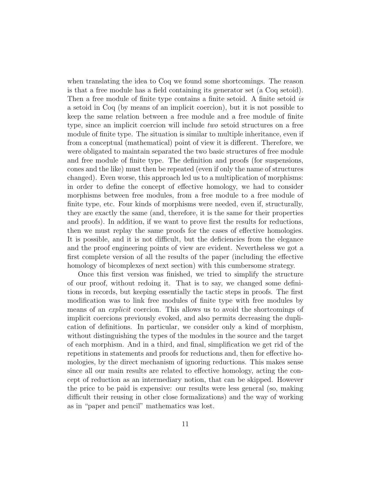when translating the idea to Coq we found some shortcomings. The reason is that a free module has a field containing its generator set (a Coq setoid). Then a free module of finite type contains a finite setoid. A finite setoid is a setoid in Coq (by means of an implicit coercion), but it is not possible to keep the same relation between a free module and a free module of finite type, since an implicit coercion will include two setoid structures on a free module of finite type. The situation is similar to multiple inheritance, even if from a conceptual (mathematical) point of view it is different. Therefore, we were obligated to maintain separated the two basic structures of free module and free module of finite type. The definition and proofs (for suspensions, cones and the like) must then be repeated (even if only the name of structures changed). Even worse, this approach led us to a multiplication of morphisms: in order to define the concept of effective homology, we had to consider morphisms between free modules, from a free module to a free module of finite type, etc. Four kinds of morphisms were needed, even if, structurally, they are exactly the same (and, therefore, it is the same for their properties and proofs). In addition, if we want to prove first the results for reductions, then we must replay the same proofs for the cases of effective homologies. It is possible, and it is not difficult, but the deficiencies from the elegance and the proof engineering points of view are evident. Nevertheless we got a first complete version of all the results of the paper (including the effective homology of bicomplexes of next section) with this cumbersome strategy.

Once this first version was finished, we tried to simplify the structure of our proof, without redoing it. That is to say, we changed some definitions in records, but keeping essentially the tactic steps in proofs. The first modification was to link free modules of finite type with free modules by means of an explicit coercion. This allows us to avoid the shortcomings of implicit coercions previously evoked, and also permits decreasing the duplication of definitions. In particular, we consider only a kind of morphism, without distinguishing the types of the modules in the source and the target of each morphism. And in a third, and final, simplification we get rid of the repetitions in statements and proofs for reductions and, then for effective homologies, by the direct mechanism of ignoring reductions. This makes sense since all our main results are related to effective homology, acting the concept of reduction as an intermediary notion, that can be skipped. However the price to be paid is expensive: our results were less general (so, making difficult their reusing in other close formalizations) and the way of working as in "paper and pencil" mathematics was lost.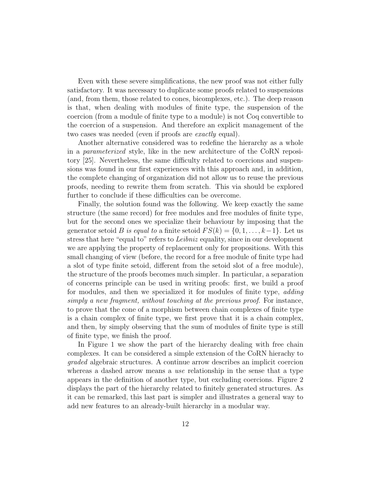Even with these severe simplifications, the new proof was not either fully satisfactory. It was necessary to duplicate some proofs related to suspensions (and, from them, those related to cones, bicomplexes, etc.). The deep reason is that, when dealing with modules of finite type, the suspension of the coercion (from a module of finite type to a module) is not Coq convertible to the coercion of a suspension. And therefore an explicit management of the two cases was needed (even if proofs are exactly equal).

Another alternative considered was to redefine the hierarchy as a whole in a parameterized style, like in the new architecture of the CoRN repository [25]. Nevertheless, the same difficulty related to coercions and suspensions was found in our first experiences with this approach and, in addition, the complete changing of organization did not allow us to reuse the previous proofs, needing to rewrite them from scratch. This via should be explored further to conclude if these difficulties can be overcome.

Finally, the solution found was the following. We keep exactly the same structure (the same record) for free modules and free modules of finite type, but for the second ones we specialize their behaviour by imposing that the generator setoid B is equal to a finite setoid  $FS(k) = \{0, 1, \ldots, k-1\}$ . Let us stress that here "equal to" refers to Leibniz equality, since in our development we are applying the property of replacement only for propositions. With this small changing of view (before, the record for a free module of finite type had a slot of type finite setoid, different from the setoid slot of a free module), the structure of the proofs becomes much simpler. In particular, a separation of concerns principle can be used in writing proofs: first, we build a proof for modules, and then we specialized it for modules of finite type, adding simply a new fragment, without touching at the previous proof. For instance, to prove that the cone of a morphism between chain complexes of finite type is a chain complex of finite type, we first prove that it is a chain complex, and then, by simply observing that the sum of modules of finite type is still of finite type, we finish the proof.

In Figure 1 we show the part of the hierarchy dealing with free chain complexes. It can be considered a simple extension of the CoRN hierachy to graded algebraic structures. A continue arrow describes an implicit coercion whereas a dashed arrow means a use relationship in the sense that a type appears in the definition of another type, but excluding coercions. Figure 2 displays the part of the hierarchy related to finitely generated structures. As it can be remarked, this last part is simpler and illustrates a general way to add new features to an already-built hierarchy in a modular way.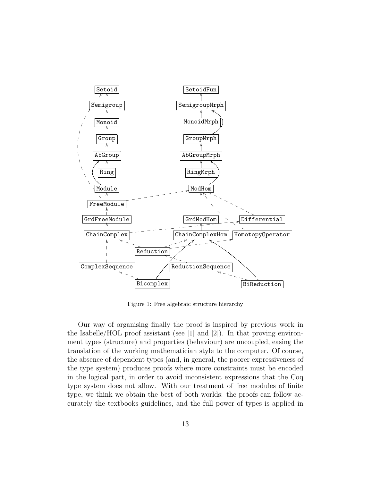

Figure 1: Free algebraic structure hierarchy

Our way of organising finally the proof is inspired by previous work in the Isabelle/HOL proof assistant (see [1] and [2]). In that proving environment types (structure) and properties (behaviour) are uncoupled, easing the translation of the working mathematician style to the computer. Of course, the absence of dependent types (and, in general, the poorer expressiveness of the type system) produces proofs where more constraints must be encoded in the logical part, in order to avoid inconsistent expressions that the Coq type system does not allow. With our treatment of free modules of finite type, we think we obtain the best of both worlds: the proofs can follow accurately the textbooks guidelines, and the full power of types is applied in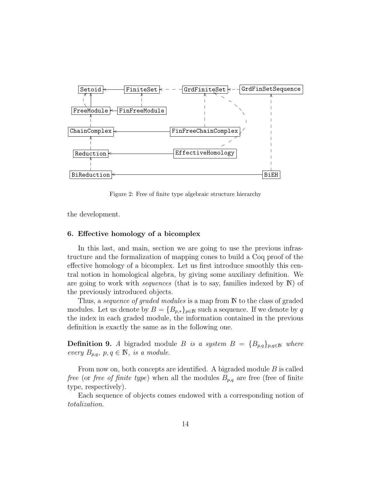

Figure 2: Free of finite type algebraic structure hierarchy

the development.

### 6. Effective homology of a bicomplex

In this last, and main, section we are going to use the previous infrastructure and the formalization of mapping cones to build a Coq proof of the effective homology of a bicomplex. Let us first introduce smoothly this central notion in homological algebra, by giving some auxiliary definition. We are going to work with *sequences* (that is to say, families indexed by  $\mathbb{N}$ ) of the previously introduced objects.

Thus, a *sequence of graded modules* is a map from N to the class of graded modules. Let us denote by  $B = \{B_{p,*}\}_{p \in \mathbb{N}}$  such a sequence. If we denote by q the index in each graded module, the information contained in the previous definition is exactly the same as in the following one.

**Definition 9.** A bigraded module B is a system  $B = {B_{p,q}}_{p,q \in \mathbb{N}}$  where every  $B_{p,q}, p, q \in \mathbb{N}$ , is a module.

From now on, both concepts are identified. A bigraded module B is called *free* (or *free of finite type*) when all the modules  $B_{p,q}$  are free (free of finite type, respectively).

Each sequence of objects comes endowed with a corresponding notion of totalization.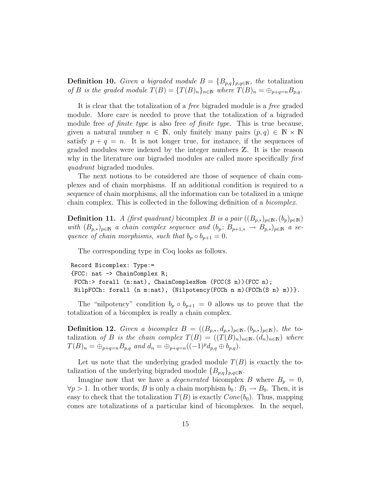**Definition 10.** Given a bigraded module  $B = \{B_{p,q}\}_{p,q \in \mathbb{N}}$ , the totalization of B is the graded module  $T(B) = {T(B)_n}_{n \in \mathbb{N}}$  where  $T(B)_n = \bigoplus_{p+q=n} B_{p,q}$ .

It is clear that the totalization of a free bigraded module is a free graded module. More care is needed to prove that the totalization of a bigraded module free *of finite type* is also free *of finite type*. This is true because, given a natural number  $n \in \mathbb{N}$ , only finitely many pairs  $(p, q) \in \mathbb{N} \times \mathbb{N}$ satisfy  $p + q = n$ . It is not longer true, for instance, if the sequences of graded modules were indexed by the integer numbers Z. It is the reason why in the literature our bigraded modules are called more specifically *first* quadrant bigraded modules.

The next notions to be considered are those of sequence of chain complexes and of chain morphisms. If an additional condition is required to a sequence of chain morphisms, all the information can be totalized in a unique chain complex. This is collected in the following definition of a bicomplex.

**Definition 11.** A (first quadrant) bicomplex B is a pair  $((B_{p,*})_{p\in\mathbb{N}}, (b_p)_{p\in\mathbb{N}})$ with  $(B_{p,*})_{p \in \mathbb{N}}$  a chain complex sequence and  $(b_p : B_{p+1,*} \to B_{p,*})_{p \in \mathbb{N}}$  a sequence of chain morphisms, such that  $b_p \circ b_{p+1} = 0$ .

The corresponding type in Coq looks as follows.

```
Record Bicomplex: Type:=
{FCC: nat -> ChainComplex R;
FCCh:> forall (n:nat), ChainComplexHom (FCC(S n))(FCC n);
NilpFCCh: forall (n m:nat), (Nilpotency(FCCh n m)(FCCh(S n) m))}.
```
The "nilpotency" condition  $b_p \circ b_{p+1} = 0$  allows us to prove that the totalization of a bicomplex is really a chain complex.

**Definition 12.** Given a bicomplex  $B = ((B_{p,*}, d_{p,*})_{p \in \mathbb{N}}, (b_{p,*})_{p \in \mathbb{N}})$ , the totalization of B is the chain complex  $T(B) = ((T(B)_n)_{n \in \mathbb{N}}, (d_n)_{n \in \mathbb{N}})$  where  $T(B)_n = \bigoplus_{p+q=n} B_{p,q}$  and  $d_n = \bigoplus_{p+q=n} ((-1)^p d_{p,q} \oplus b_{p,q}).$ 

Let us note that the underlying graded module  $T(B)$  is exactly the totalization of the underlying bigraded module  ${B_{p,q}}_{p,q\in\mathbb{N}}$ .

Imagine now that we have a *degenerated* bicomplex B where  $B_p = 0$ ,  $\forall p > 1$ . In other words, B is only a chain morphism  $b_0: B_1 \to B_0$ . Then, it is easy to check that the totalization  $T(B)$  is exactly  $Cone(b_0)$ . Thus, mapping cones are totalizations of a particular kind of bicomplexes. In the sequel,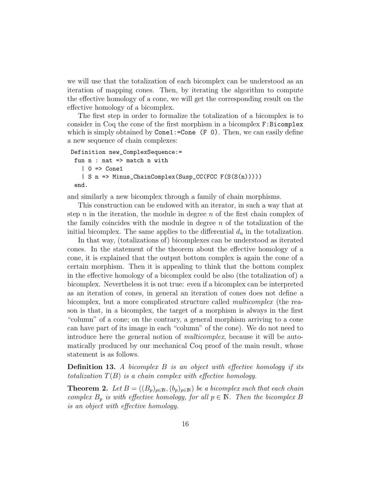we will use that the totalization of each bicomplex can be understood as an iteration of mapping cones. Then, by iterating the algorithm to compute the effective homology of a cone, we will get the corresponding result on the effective homology of a bicomplex.

The first step in order to formalize the totalization of a bicomplex is to consider in Coq the cone of the first morphism in a bicomplex F:Bicomplex which is simply obtained by  $Cone1:=Cone$  (F 0). Then, we can easily define a new sequence of chain complexes:

```
Definition new_ComplexSequence:=
 fun n : nat => match n with
   | 0 \Rightarrow Cone1
   | S n => Minus_ChainComplex(Susp_CC(FCC F(S(S(n)))))
 end.
```
and similarly a new bicomplex through a family of chain morphisms.

This construction can be endowed with an iterator, in such a way that at step n in the iteration, the module in degree n of the first chain complex of the family coincides with the module in degree  $n$  of the totalization of the initial bicomplex. The same applies to the differential  $d_n$  in the totalization.

In that way, (totalizations of) bicomplexes can be understood as iterated cones. In the statement of the theorem about the effective homology of a cone, it is explained that the output bottom complex is again the cone of a certain morphism. Then it is appealing to think that the bottom complex in the effective homology of a bicomplex could be also (the totalization of) a bicomplex. Nevertheless it is not true: even if a bicomplex can be interpreted as an iteration of cones, in general an iteration of cones does not define a bicomplex, but a more complicated structure called *multicomplex* (the reason is that, in a bicomplex, the target of a morphism is always in the first "column" of a cone; on the contrary, a general morphism arriving to a cone can have part of its image in each "column" of the cone). We do not need to introduce here the general notion of multicomplex, because it will be automatically produced by our mechanical Coq proof of the main result, whose statement is as follows.

**Definition 13.** A bicomplex  $B$  is an object with effective homology if its totalization  $T(B)$  is a chain complex with effective homology.

**Theorem 2.** Let  $B = ((B_p)_{p \in \mathbb{N}}, (b_p)_{p \in \mathbb{N}})$  be a bicomplex such that each chain complex  $B_p$  is with effective homology, for all  $p \in \mathbb{N}$ . Then the bicomplex B is an object with effective homology.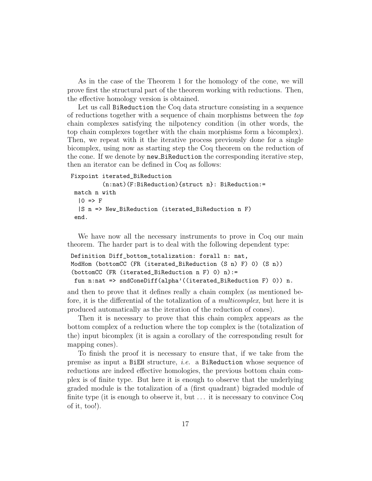As in the case of the Theorem 1 for the homology of the cone, we will prove first the structural part of the theorem working with reductions. Then, the effective homology version is obtained.

Let us call BiReduction the Coq data structure consisting in a sequence of reductions together with a sequence of chain morphisms between the top chain complexes satisfying the nilpotency condition (in other words, the top chain complexes together with the chain morphisms form a bicomplex). Then, we repeat with it the iterative process previously done for a single bicomplex, using now as starting step the Coq theorem on the reduction of the cone. If we denote by new BiReduction the corresponding iterative step, then an iterator can be defined in Coq as follows:

```
Fixpoint iterated_BiReduction
```

```
(n:nat)(F:BiReduction){struct n}: BiReduction:=
match n with
 |0 \Rightarrow F|S n => New_BiReduction (iterated_BiReduction n F)
end.
```
We have now all the necessary instruments to prove in Coq our main theorem. The harder part is to deal with the following dependent type:

```
Definition Diff_bottom_totalization: forall n: nat,
ModHom (bottomCC (FR (iterated_BiReduction (S n) F) 0) (S n))
(bottomCC (FR (iterated_BiReduction n F) 0) n):=
fun n:nat => sndConeDiff(alpha'((iterated_BiReduction F) 0)) n.
```
and then to prove that it defines really a chain complex (as mentioned before, it is the differential of the totalization of a *multicomplex*, but here it is produced automatically as the iteration of the reduction of cones).

Then it is necessary to prove that this chain complex appears as the bottom complex of a reduction where the top complex is the (totalization of the) input bicomplex (it is again a corollary of the corresponding result for mapping cones).

To finish the proof it is necessary to ensure that, if we take from the premise as input a BiEH structure, i.e. a BiReduction whose sequence of reductions are indeed effective homologies, the previous bottom chain complex is of finite type. But here it is enough to observe that the underlying graded module is the totalization of a (first quadrant) bigraded module of finite type (it is enough to observe it, but ... it is necessary to convince Coq of it, too!).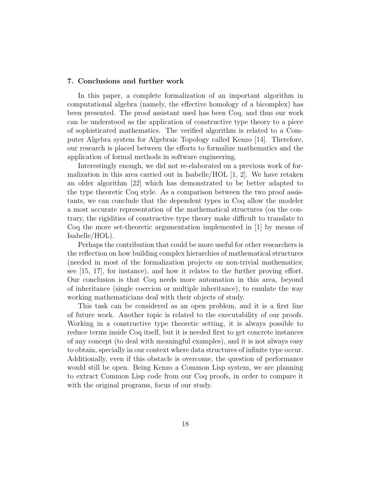#### 7. Conclusions and further work

In this paper, a complete formalization of an important algorithm in computational algebra (namely, the effective homology of a bicomplex) has been presented. The proof assistant used has been Coq, and thus our work can be understood as the application of constructive type theory to a piece of sophisticated mathematics. The verified algorithm is related to a Computer Algebra system for Algebraic Topology called Kenzo [14]. Therefore, our research is placed between the efforts to formalize mathematics and the application of formal methods in software engineering.

Interestingly enough, we did not re-elaborated on a previous work of formalization in this area carried out in Isabelle/HOL  $[1, 2]$ . We have retaken an older algorithm [22] which has demonstrated to be better adapted to the type theoretic Coq style. As a comparison between the two proof assistants, we can conclude that the dependent types in Coq allow the modeler a most accurate representation of the mathematical structures (on the contrary, the rigidities of constructive type theory make difficult to translate to Coq the more set-theoretic argumentation implemented in [1] by means of Isabelle/HOL).

Perhaps the contribution that could be more useful for other researchers is the reflection on how building complex hierarchies of mathematical structures (needed in most of the formalization projects on non-trivial mathematics; see [15, 17], for instance), and how it relates to the further proving effort. Our conclusion is that Coq needs more automation in this area, beyond of inheritance (single coercion or multiple inheritance), to emulate the way working mathematicians deal with their objects of study.

This task can be considered as an open problem, and it is a first line of future work. Another topic is related to the executability of our proofs. Working in a constructive type theoretic setting, it is always possible to reduce terms inside Coq itself, but it is needed first to get concrete instances of any concept (to deal with meaningful examples), and it is not always easy to obtain, specially in our context where data structures of infinite type occur. Additionally, even if this obstacle is overcome, the question of performance would still be open. Being Kenzo a Common Lisp system, we are planning to extract Common Lisp code from our Coq proofs, in order to compare it with the original programs, focus of our study.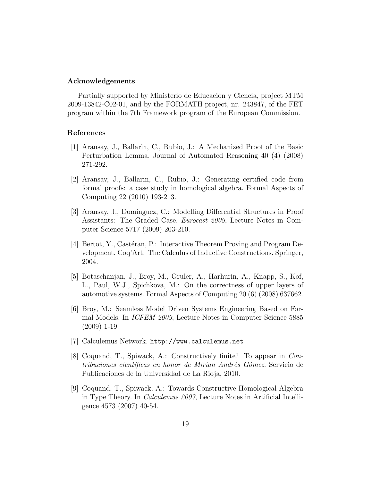#### Acknowledgements

Partially supported by Ministerio de Educación y Ciencia, project MTM 2009-13842-C02-01, and by the FORMATH project, nr. 243847, of the FET program within the 7th Framework program of the European Commission.

### References

- [1] Aransay, J., Ballarin, C., Rubio, J.: A Mechanized Proof of the Basic Perturbation Lemma. Journal of Automated Reasoning 40 (4) (2008) 271-292.
- [2] Aransay, J., Ballarin, C., Rubio, J.: Generating certified code from formal proofs: a case study in homological algebra. Formal Aspects of Computing 22 (2010) 193-213.
- [3] Aransay, J., Domínguez, C.: Modelling Differential Structures in Proof Assistants: The Graded Case. Eurocast 2009, Lecture Notes in Computer Science 5717 (2009) 203-210.
- [4] Bertot, Y., Castéran, P.: Interactive Theorem Proving and Program Development. Coq'Art: The Calculus of Inductive Constructions. Springer, 2004.
- [5] Botaschanjan, J., Broy, M., Gruler, A., Harhurin, A., Knapp, S., Kof, L., Paul, W.J., Spichkova, M.: On the correctness of upper layers of automotive systems. Formal Aspects of Computing 20 (6) (2008) 637662.
- [6] Broy, M.: Seamless Model Driven Systems Engineering Based on Formal Models. In ICFEM 2009, Lecture Notes in Computer Science 5885 (2009) 1-19.
- [7] Calculemus Network. http://www.calculemus.net
- [8] Coquand, T., Spiwack, A.: Constructively finite? To appear in Contribuciones científicas en honor de Mirian Andrés Gómez. Servicio de Publicaciones de la Universidad de La Rioja, 2010.
- [9] Coquand, T., Spiwack, A.: Towards Constructive Homological Algebra in Type Theory. In Calculemus 2007, Lecture Notes in Artificial Intelligence 4573 (2007) 40-54.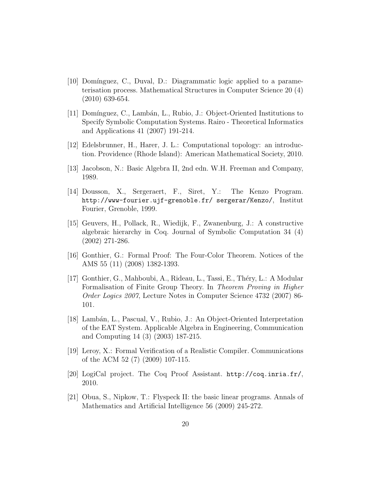- [10] Dom´ınguez, C., Duval, D.: Diagrammatic logic applied to a parameterisation process. Mathematical Structures in Computer Science 20 (4) (2010) 639-654.
- [11] Dom´ınguez, C., Lamb´an, L., Rubio, J.: Object-Oriented Institutions to Specify Symbolic Computation Systems. Rairo - Theoretical Informatics and Applications 41 (2007) 191-214.
- [12] Edelsbrunner, H., Harer, J. L.: Computational topology: an introduction. Providence (Rhode Island): American Mathematical Society, 2010.
- [13] Jacobson, N.: Basic Algebra II, 2nd edn. W.H. Freeman and Company, 1989.
- [14] Dousson, X., Sergeraert, F., Siret, Y.: The Kenzo Program. http://www-fourier.ujf-grenoble.fr/ sergerar/Kenzo/, Institut Fourier, Grenoble, 1999.
- [15] Geuvers, H., Pollack, R., Wiedijk, F., Zwanenburg, J.: A constructive algebraic hierarchy in Coq. Journal of Symbolic Computation 34 (4) (2002) 271-286.
- [16] Gonthier, G.: Formal Proof: The Four-Color Theorem. Notices of the AMS 55 (11) (2008) 1382-1393.
- [17] Gonthier, G., Mahboubi, A., Rideau, L., Tassi, E., Théry, L.: A Modular Formalisation of Finite Group Theory. In Theorem Proving in Higher Order Logics 2007, Lecture Notes in Computer Science 4732 (2007) 86- 101.
- [18] Lamb´an, L., Pascual, V., Rubio, J.: An Object-Oriented Interpretation of the EAT System. Applicable Algebra in Engineering, Communication and Computing 14 (3) (2003) 187-215.
- [19] Leroy, X.: Formal Verification of a Realistic Compiler. Communications of the ACM 52 (7) (2009) 107-115.
- [20] LogiCal project. The Coq Proof Assistant. http://coq.inria.fr/, 2010.
- [21] Obua, S., Nipkow, T.: Flyspeck II: the basic linear programs. Annals of Mathematics and Artificial Intelligence 56 (2009) 245-272.